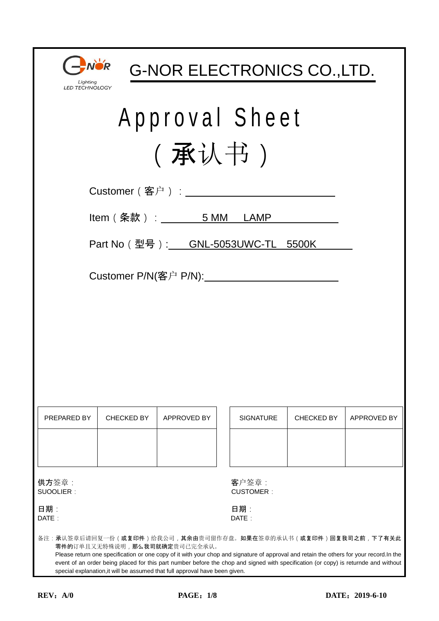| Lighting<br><b>LED TECHNOLOGY</b> |  |
|-----------------------------------|--|

G-NOR ELECTRONICS CO.,LTD.

# Approval Sheet (承认书)

| Customer ( 客户 ) : $\overline{\phantom{a}}$ |  |  |  |  |  |
|--------------------------------------------|--|--|--|--|--|
|--------------------------------------------|--|--|--|--|--|

Item (条款): \_\_\_\_\_\_\_ 5 MM LAMP

Part No(型号): GNL-5053UWC-TL 5500K

Customer P/N(客户 P/N):

| PREPARED BY | CHECKED BY | APPROVED BY | <b>SIGNATURE</b> | <b>CHECKED BY</b> | <b>APPROVED BY</b> |
|-------------|------------|-------------|------------------|-------------------|--------------------|
|             |            |             |                  |                   |                    |
|             |            |             |                  |                   |                    |

| <b>SIGNATURE</b> | <b>CHECKED BY</b> | APPROVED BY |
|------------------|-------------------|-------------|
|                  |                   |             |

供方签章: 客户签章:

SUOOLIER: CUSTOMER:

日期 : 日期: 日期: 1999年 - 1999年 - 1999年 - 1999年 - 1999年 - 1999年 - 1999年 - 1999年 - 1999年 - 1999年 - 1999年 - 1999年 - 1 DATE: DATE:

备注:承认签章后请回复一份(或复印件)给我公司,其余由贵司留作存盘。如果在签章的承认书(或复印件)回复我司之前,下了有关此 零件的订单且又无特殊说明,那么我司就确定贵司已完全承认。

 Please return one specification or one copy of it with your chop and signature of approval and retain the others for your record.In the event of an order being placed for this part number before the chop and signed with specification (or copy) is returnde and without special explanation,it will be assumed that full approval have been given.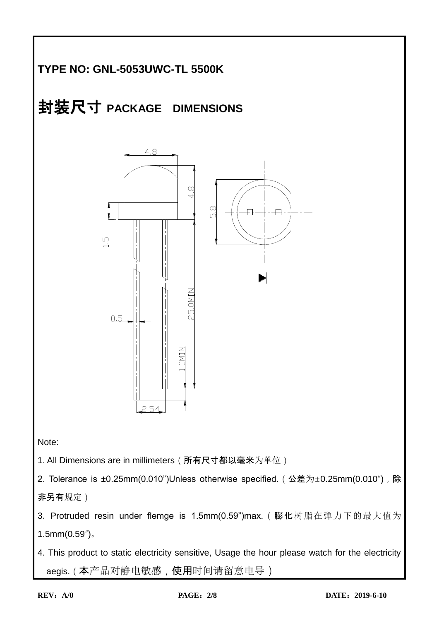# **TYPE NO: GNL-5053UWC-TL 5500K**



非另有规定)

3. Protruded resin under flemge is 1.5mm(0.59")max.(膨化树脂在弹力下的最大值为 1.5mm(0.59")。

4. This product to static electricity sensitive, Usage the hour please watch for the electricity aegis. (本产品对静电敏感, 使用时间请留意电导)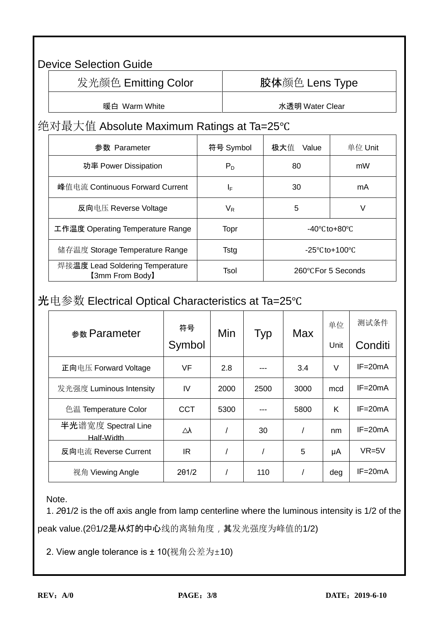### Device Selection Guide

发光颜色 Emitting Color | 陈体颜色 Lens Type

暖白 Warm White **National Macket of Water Water Clear** 

#### 绝对最大值 Absolute Maximum Ratings at Ta=25℃

| 参数 Parameter                                       | 符号 Symbol               | 极大值<br>Value                       | 单位 Unit |  |
|----------------------------------------------------|-------------------------|------------------------------------|---------|--|
| 功率 Power Dissipation                               | $P_D$                   | 80                                 | mW      |  |
| 峰值电流 Continuous Forward Current                    | ΙF                      | 30                                 | mA      |  |
| 反向电压 Reverse Voltage                               | $\mathsf{V}_\mathsf{R}$ | 5                                  | V       |  |
| 工作温度 Operating Temperature Range                   | Topr                    | $-40^{\circ}$ Cto $+80^{\circ}$ C  |         |  |
| 储存温度 Storage Temperature Range                     | Tstg                    | $-25^{\circ}$ Cto+100 $^{\circ}$ C |         |  |
| 焊接温度 Lead Soldering Temperature<br>[3mm From Body] | Tsol                    | 260°C For 5 Seconds                |         |  |

## 光电参数 Electrical Optical Characteristics at Ta=25℃

| 参数 Parameter                      | 符号         | Min  | Typ  | <b>Max</b> | 单位   | 测试条件        |
|-----------------------------------|------------|------|------|------------|------|-------------|
|                                   | Symbol     |      |      |            | Unit | Conditi     |
| 正向电压 Forward Voltage              | <b>VF</b>  | 2.8  |      | 3.4        | V    | $IF = 20mA$ |
| 发光强度 Luminous Intensity           | IV         | 2000 | 2500 | 3000       | mcd  | $IF = 20mA$ |
| 色温 Temperature Color              | <b>CCT</b> | 5300 |      | 5800       | K    | $IF = 20mA$ |
| 半光谱宽度 Spectral Line<br>Half-Width | Δλ         |      | 30   |            | nm   | $IF = 20mA$ |
| 反向电流 Reverse Current              | IR.        |      |      | 5          | μA   | $VR=5V$     |
| 视角 Viewing Angle                  | 201/2      |      | 110  |            | deg  | $IF = 20mA$ |

Note.

1. *2*θ1/2 is the off axis angle from lamp centerline where the luminous intensity is 1/2 of the peak value.(201/2是从灯的中心线的离轴角度,其发光强度为峰值的1/2)

2. View angle tolerance is ± 10(视角公差为±10)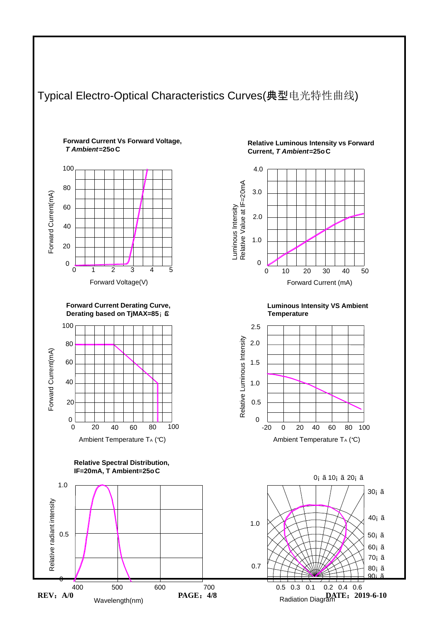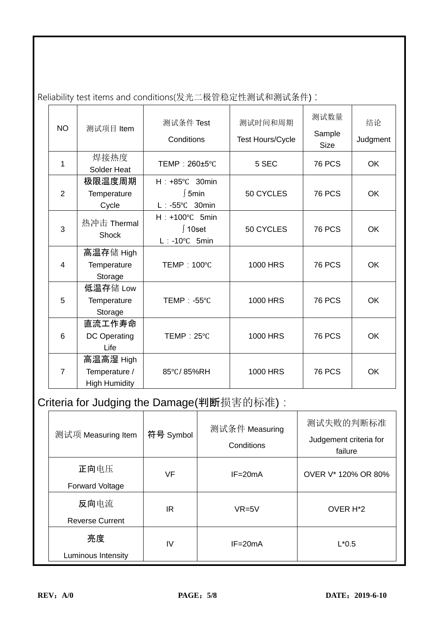| <b>NO</b>      | 测试项目 Item                                          | 测试条件 Test                                                      | 测试时间和周期          | 测试数量<br>Sample | 结论        |
|----------------|----------------------------------------------------|----------------------------------------------------------------|------------------|----------------|-----------|
|                |                                                    | Conditions                                                     | Test Hours/Cycle | <b>Size</b>    | Judgment  |
| 1              | 焊接热度                                               | TEMP: 260±5°C                                                  | 5 SEC            | <b>76 PCS</b>  | <b>OK</b> |
|                | Solder Heat                                        |                                                                |                  |                |           |
|                | 极限温度周期                                             | $H : +85^{\circ}C$ 30min                                       |                  |                |           |
| $\overline{2}$ | Temperature                                        | ∫5min                                                          | 50 CYCLES        | <b>76 PCS</b>  | <b>OK</b> |
|                | Cycle                                              | $L : -55^{\circ}C$ 30min                                       |                  |                |           |
| 3              | 热冲击 Thermal<br><b>Shock</b>                        | $H : +100^{\circ}C$ 5min<br>∫ 10set<br>$L : -10^{\circ}C$ 5min | 50 CYCLES        | <b>76 PCS</b>  | <b>OK</b> |
| 4              | 高温存储 High<br><b>Temperature</b><br>Storage         | TEMP: 100°C                                                    |                  | <b>76 PCS</b>  | <b>OK</b> |
| 5              | 低温存储 Low<br>Temperature<br>Storage                 | TEMP: -55°C                                                    | <b>1000 HRS</b>  | <b>76 PCS</b>  | <b>OK</b> |
| 6              | 直流工作寿命<br>DC Operating<br>Life                     | TEMP: 25°C                                                     | <b>1000 HRS</b>  | <b>76 PCS</b>  | <b>OK</b> |
| $\overline{7}$ | 高温高湿 High<br>Temperature /<br><b>High Humidity</b> | 85°C/85%RH                                                     | <b>1000 HRS</b>  | <b>76 PCS</b>  | OK        |

Reliability test items and conditions(发光二极管稳定性测试和测试条件) :

# Criteria for Judging the Damage(判断损害的标准):

| 测试项 Measuring Item             | 符号 Symbol | 测试条件 Measuring<br>Conditions | 测试失败的判断标准<br>Judgement criteria for<br>failure |
|--------------------------------|-----------|------------------------------|------------------------------------------------|
| 正向电压<br><b>Forward Voltage</b> | VF        | $IF = 20mA$                  | OVER V* 120% OR 80%                            |
| 反向电流<br><b>Reverse Current</b> | IR        | $VR=5V$                      | OVER H <sup>*2</sup>                           |
| 亮度<br>Luminous Intensity       | IV        | $IF = 20mA$                  | $L*0.5$                                        |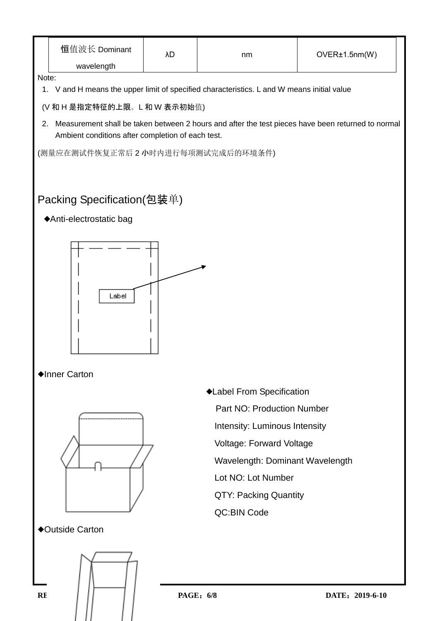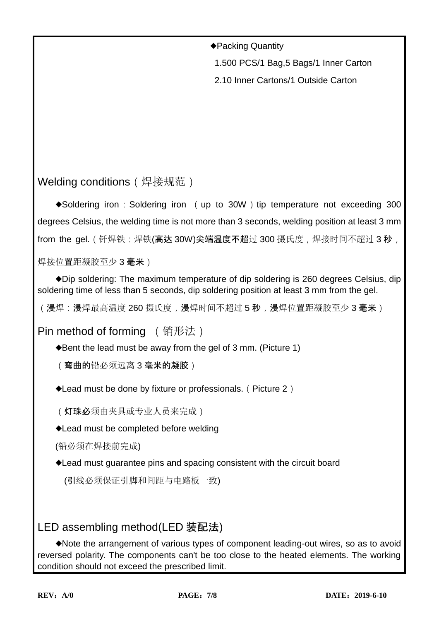◆Packing Quantity

1.500 PCS/1 Bag,5 Bags/1 Inner Carton

2.10 Inner Cartons/1 Outside Carton

Welding conditions (焊接规范)

◆Soldering iron: Soldering iron (up to 30W) tip temperature not exceeding 300 degrees Celsius, the welding time is not more than 3 seconds, welding position at least 3 mm from the gel. (钎焊铁:焊铁(高达 30W)尖端温度不超过 300 摄氏度,焊接时间不超过 3 秒,

焊接位置距凝胶至少 3 毫米)

◆Dip soldering: The maximum temperature of dip soldering is 260 degrees Celsius, dip soldering time of less than 5 seconds, dip soldering position at least 3 mm from the gel.

(浸焊:浸焊最高温度 260 摄氏度,浸焊时间不超过 5 秒,浸焊位置距凝胶至少 3 毫米)

Pin method of forming (销形法)

◆Bent the lead must be away from the gel of 3 mm. (Picture 1)

(弯曲的铅必须远离 3 毫米的凝胶)

◆Lead must be done by fixture or professionals.(Picture 2)

(灯珠必须由夹具或专业人员来完成)

◆Lead must be completed before welding

(铅必须在焊接前完成)

◆Lead must guarantee pins and spacing consistent with the circuit board

(引线必须保证引脚和间距与电路板一致)

#### LED assembling method(LED 装配法)

◆Note the arrangement of various types of component leading-out wires, so as to avoid reversed polarity. The components can't be too close to the heated elements. The working condition should not exceed the prescribed limit.